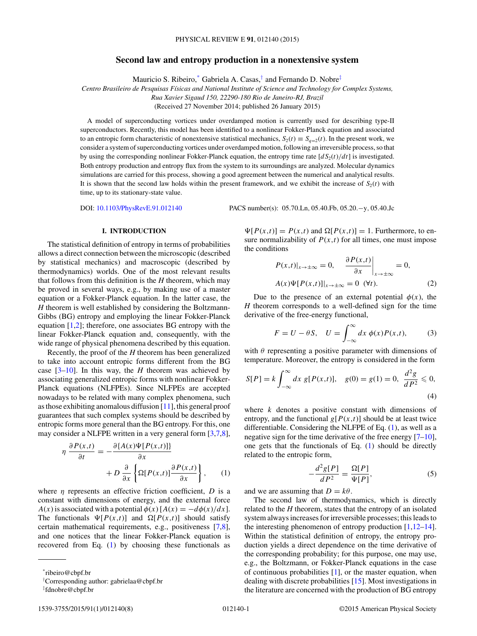# **Second law and entropy production in a nonextensive system**

Mauricio S. Ribeiro,\* Gabriela A. Casas,† and Fernando D. Nobre‡

<span id="page-0-0"></span>*Centro Brasileiro de Pesquisas F´ısicas and National Institute of Science and Technology for Complex Systems,*

*Rua Xavier Sigaud 150, 22290-180 Rio de Janeiro-RJ, Brazil*

(Received 27 November 2014; published 26 January 2015)

A model of superconducting vortices under overdamped motion is currently used for describing type-II superconductors. Recently, this model has been identified to a nonlinear Fokker-Planck equation and associated to an entropic form characteristic of nonextensive statistical mechanics,  $S_2(t) \equiv S_{q=2}(t)$ . In the present work, we consider a system of superconducting vortices under overdamped motion, following an irreversible process, so that by using the corresponding nonlinear Fokker-Planck equation, the entropy time rate  $[dS_2(t)/dt]$  is investigated. Both entropy production and entropy flux from the system to its surroundings are analyzed. Molecular dynamics simulations are carried for this process, showing a good agreement between the numerical and analytical results. It is shown that the second law holds within the present framework, and we exhibit the increase of  $S_2(t)$  with time, up to its stationary-state value.

DOI: [10.1103/PhysRevE.91.012140](http://dx.doi.org/10.1103/PhysRevE.91.012140) PACS number(s): 05*.*70*.*Ln*,* 05*.*40*.*Fb*,* 05*.*20*.*−y*,* 05*.*40*.*Jc

## **I. INTRODUCTION**

The statistical definition of entropy in terms of probabilities allows a direct connection between the microscopic (described by statistical mechanics) and macroscopic (described by thermodynamics) worlds. One of the most relevant results that follows from this definition is the *H* theorem, which may be proved in several ways, e.g., by making use of a master equation or a Fokker-Planck equation. In the latter case, the *H* theorem is well established by considering the Boltzmann-Gibbs (BG) entropy and employing the linear Fokker-Planck equation  $[1,2]$ ; therefore, one associates BG entropy with the linear Fokker-Planck equation and, consequently, with the wide range of physical phenomena described by this equation.

Recently, the proof of the *H* theorem has been generalized to take into account entropic forms different from the BG case  $[3-10]$ . In this way, the *H* theorem was achieved by associating generalized entropic forms with nonlinear Fokker-Planck equations (NLFPEs). Since NLFPEs are accepted nowadays to be related with many complex phenomena, such as those exhibiting anomalous diffusion [\[11\]](#page-6-0), this general proof guarantees that such complex systems should be described by entropic forms more general than the BG entropy. For this, one may consider a NLFPE written in a very general form [\[3,7,8\]](#page-6-0),

$$
\eta \frac{\partial P(x,t)}{\partial t} = -\frac{\partial \{A(x)\Psi[P(x,t)]\}}{\partial x} + D \frac{\partial}{\partial x} \left\{ \Omega[P(x,t)] \frac{\partial P(x,t)}{\partial x} \right\}, \quad (1)
$$

where *η* represents an effective friction coefficient, *D* is a constant with dimensions of energy, and the external force *A*(*x*) is associated with a potential  $\phi(x)$  [*A*(*x*) =  $-d\phi(x)/dx$ ]. The functionals  $\Psi[P(x,t)]$  and  $\Omega[P(x,t)]$  should satisfy certain mathematical requirements, e.g., positiveness [\[7,8\]](#page-6-0), and one notices that the linear Fokker-Planck equation is recovered from Eq. (1) by choosing these functionals as

 $\Psi[P(x,t)] = P(x,t)$  and  $\Omega[P(x,t)] = 1$ . Furthermore, to ensure normalizability of  $P(x,t)$  for all times, one must impose the conditions  $2D(x,t)$ 

$$
P(x,t)|_{x\to\pm\infty} = 0, \quad \frac{\partial P(x,t)}{\partial x}\Big|_{x\to\pm\infty} = 0,
$$
  

$$
A(x)\Psi[P(x,t)]|_{x\to\pm\infty} = 0 \quad (\forall t).
$$
 (2)

Due to the presence of an external potential  $\phi(x)$ , the *H* theorem corresponds to a well-defined sign for the time derivative of the free-energy functional,

$$
F = U - \theta S, \quad U = \int_{-\infty}^{\infty} dx \ \phi(x) P(x, t), \tag{3}
$$

with *θ* representing a positive parameter with dimensions of temperature. Moreover, the entropy is considered in the form

$$
S[P] = k \int_{-\infty}^{\infty} dx \ g[P(x,t)], \quad g(0) = g(1) = 0, \ \frac{d^2g}{dP^2} \leq 0,
$$
\n(4)

where *k* denotes a positive constant with dimensions of entropy, and the functional  $g[P(x,t)]$  should be at least twice differentiable. Considering the NLFPE of Eq. (1), as well as a negative sign for the time derivative of the free energy  $[7-10]$ , one gets that the functionals of Eq. (1) should be directly related to the entropic form,

$$
-\frac{d^2g[P]}{dP^2} = \frac{\Omega[P]}{\Psi[P]},\tag{5}
$$

and we are assuming that  $D = k\theta$ .

The second law of thermodynamics, which is directly related to the *H* theorem, states that the entropy of an isolated system always increases for irreversible processes; this leads to the interesting phenomenon of entropy production  $[1,12-14]$ . Within the statistical definition of entropy, the entropy production yields a direct dependence on the time derivative of the corresponding probability; for this purpose, one may use, e.g., the Boltzmann, or Fokker-Planck equations in the case of continuous probabilities  $[1]$ , or the master equation, when dealing with discrete probabilities [\[15\]](#page-6-0). Most investigations in the literature are concerned with the production of BG entropy

<sup>\*</sup>ribeiro@cbpf.br

<sup>†</sup> Corresponding author: gabrielaa@cbpf.br

<sup>‡</sup> fdnobre@cbpf.br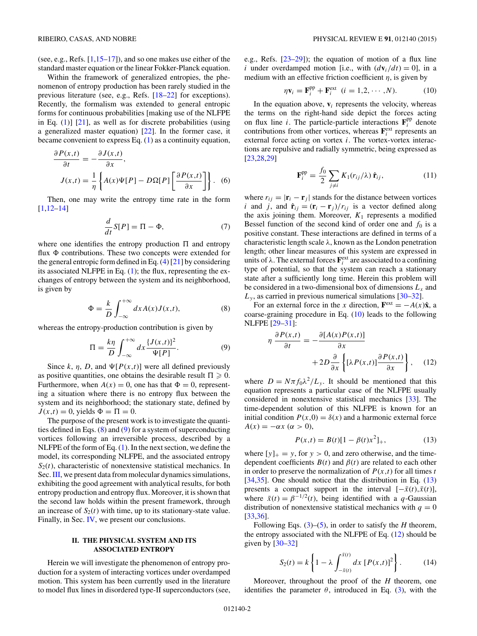<span id="page-1-0"></span>(see, e.g., Refs. [\[1,15–17\]](#page-6-0)), and so one makes use either of the standard master equation or the linear Fokker-Planck equation.

Within the framework of generalized entropies, the phenomenon of entropy production has been rarely studied in the previous literature (see, e.g., Refs. [\[18–22\]](#page-6-0) for exceptions). Recently, the formalism was extended to general entropic forms for continuous probabilities [making use of the NLFPE in Eq.  $(1)$ ]  $[21]$ , as well as for discrete probabilities (using a generalized master equation) [\[22\]](#page-6-0). In the former case, it became convenient to express Eq. [\(1\)](#page-0-0) as a continuity equation,

$$
\frac{\partial P(x,t)}{\partial t} = -\frac{\partial J(x,t)}{\partial x},
$$

$$
J(x,t) = \frac{1}{\eta} \left\{ A(x)\Psi[P] - D\Omega[P] \left[ \frac{\partial P(x,t)}{\partial x} \right] \right\}. \tag{6}
$$

Then, one may write the entropy time rate in the form [\[1,12–14\]](#page-6-0)

$$
\frac{d}{dt}S[P] = \Pi - \Phi,\tag{7}
$$

where one identifies the entropy production  $\Pi$  and entropy flux  $\Phi$  contributions. These two concepts were extended for the general entropic form defined in Eq.  $(4)$  [\[21\]](#page-6-0) by considering its associated NLFPE in Eq. [\(1\)](#page-0-0); the flux, representing the exchanges of entropy between the system and its neighborhood, is given by

$$
\Phi = \frac{k}{D} \int_{-\infty}^{+\infty} dx A(x) J(x,t), \tag{8}
$$

whereas the entropy-production contribution is given by

$$
\Pi = \frac{k\eta}{D} \int_{-\infty}^{+\infty} dx \frac{\{J(x,t)\}^2}{\Psi[P]}.
$$
 (9)

Since *k*, *η*, *D*, and  $\Psi[P(x,t)]$  were all defined previously as positive quantities, one obtains the desirable result  $\Pi \geq 0$ . Furthermore, when  $A(x) = 0$ , one has that  $\Phi = 0$ , representing a situation where there is no entropy flux between the system and its neighborhood; the stationary state, defined by  $J(x,t) = 0$ , yields  $\Phi = \Pi = 0$ .

The purpose of the present work is to investigate the quantities defined in Eqs.  $(8)$  and  $(9)$  for a system of superconducting vortices following an irreversible process, described by a NLFPE of the form of Eq.  $(1)$ . In the next section, we define the model, its corresponding NLFPE, and the associated entropy  $S_2(t)$ , characteristic of nonextensive statistical mechanics. In Sec. [III,](#page-2-0) we present data from molecular dynamics simulations, exhibiting the good agreement with analytical results, for both entropy production and entropy flux. Moreover, it is shown that the second law holds within the present framework, through an increase of  $S_2(t)$  with time, up to its stationary-state value. Finally, in Sec. [IV,](#page-6-0) we present our conclusions.

### **II. THE PHYSICAL SYSTEM AND ITS ASSOCIATED ENTROPY**

Herein we will investigate the phenomenon of entropy production for a system of interacting vortices under overdamped motion. This system has been currently used in the literature to model flux lines in disordered type-II superconductors (see,

e.g., Refs. [\[23](#page-6-0)[–29\]](#page-7-0)); the equation of motion of a flux line *i* under overdamped motion [i.e., with  $(d\mathbf{v}_i/dt) = 0$ ], in a medium with an effective friction coefficient  $\eta$ , is given by

$$
\eta \mathbf{v}_i = \mathbf{F}_i^{\text{pp}} + \mathbf{F}_i^{\text{ext}} \quad (i = 1, 2, \cdots, N). \tag{10}
$$

In the equation above,  $\mathbf{v}_i$  represents the velocity, whereas the terms on the right-hand side depict the forces acting on flux line *i*. The particle-particle interactions  $\mathbf{F}_i^{\text{pp}}$  denote contributions from other vortices, whereas  $\mathbf{F}_i^{\text{ext}}$  represents an external force acting on vortex *i*. The vortex-vortex interactions are repulsive and radially symmetric, being expressed as [\[23,](#page-6-0)[28,29\]](#page-7-0)

$$
\mathbf{F}_i^{\text{pp}} = \frac{f_0}{2} \sum_{j \neq i} K_1(r_{ij}/\lambda) \, \hat{\mathbf{r}}_{ij},\tag{11}
$$

where  $r_{ij} = |\mathbf{r}_i - \mathbf{r}_j|$  stands for the distance between vortices *i* and *j*, and  $\hat{\mathbf{r}}_{ij} = (\mathbf{r}_i - \mathbf{r}_j)/r_{ij}$  is a vector defined along the axis joining them. Moreover,  $K_1$  represents a modified Bessel function of the second kind of order one and  $f_0$  is a positive constant. These interactions are defined in terms of a characteristic length scale *λ*, known as the London penetration length; other linear measures of this system are expressed in units of  $\lambda$ . The external forces  $\mathbf{F}_i^{\text{ext}}$  are associated to a confining type of potential, so that the system can reach a stationary state after a sufficiently long time. Herein this problem will be considered in a two-dimensional box of dimensions  $L<sub>x</sub>$  and  $L<sub>v</sub>$ , as carried in previous numerical simulations [ $30-32$ ].

For an external force in the *x* direction,  $\mathbf{F}^{\text{ext}} = -A(x)\hat{\mathbf{x}}$ , a coarse-graining procedure in Eq. (10) leads to the following NLFPE [\[29–31\]](#page-7-0):

$$
\eta \frac{\partial P(x,t)}{\partial t} = -\frac{\partial [A(x)P(x,t)]}{\partial x} + 2D \frac{\partial}{\partial x} \left\{ [\lambda P(x,t)] \frac{\partial P(x,t)}{\partial x} \right\}, \quad (12)
$$

where  $D = N \pi f_0 \lambda^2 / L_y$ . It should be mentioned that this equation represents a particular case of the NLFPE usually considered in nonextensive statistical mechanics [\[33\]](#page-7-0). The time-dependent solution of this NLFPE is known for an initial condition  $P(x,0) = \delta(x)$  and a harmonic external force  $A(x) = -\alpha x \ (\alpha > 0),$ 

$$
P(x,t) = B(t)[1 - \beta(t)x^2]_+, \tag{13}
$$

where  $[y]_+ = y$ , for  $y > 0$ , and zero otherwise, and the timedependent coefficients  $B(t)$  and  $\beta(t)$  are related to each other in order to preserve the normalization of  $P(x,t)$  for all times *t* [\[34,35\]](#page-7-0). One should notice that the distribution in Eq. (13) presents a compact support in the interval  $[-\bar{x}(t), \bar{x}(t)]$ , where  $\bar{x}(t) = \beta^{-1/2}(t)$ , being identified with a *q*-Gaussian distribution of nonextensive statistical mechanics with  $q = 0$ [\[33,36\]](#page-7-0).

Following Eqs. [\(3\)](#page-0-0)–[\(5\)](#page-0-0), in order to satisfy the *H* theorem, the entropy associated with the NLFPE of Eq. (12) should be given by  $[30-32]$ 

$$
S_2(t) = k \left\{ 1 - \lambda \int_{-\bar{x}(t)}^{\bar{x}(t)} dx \left[ P(x,t) \right]^2 \right\}.
$$
 (14)

Moreover, throughout the proof of the *H* theorem, one identifies the parameter  $\theta$ , introduced in Eq. [\(3\)](#page-0-0), with the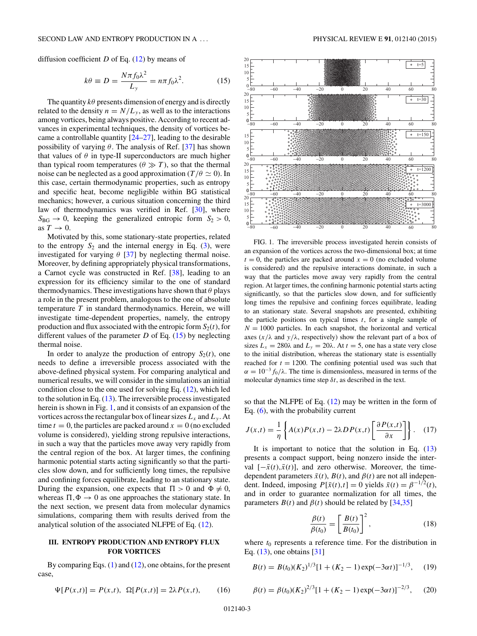<span id="page-2-0"></span>diffusion coefficient  $D$  of Eq.  $(12)$  by means of

$$
k\theta \equiv D = \frac{N\pi f_0 \lambda^2}{L_y} = n\pi f_0 \lambda^2.
$$
 (15)

The quantity  $k\theta$  presents dimension of energy and is directly related to the density  $n = N/L<sub>y</sub>$ , as well as to the interactions among vortices, being always positive. According to recent advances in experimental techniques, the density of vortices became a controllable quantity  $[24-27]$  $[24-27]$ , leading to the desirable possibility of varying *θ*. The analysis of Ref. [\[37\]](#page-7-0) has shown that values of  $\theta$  in type-II superconductors are much higher than typical room temperatures ( $\theta \gg T$ ), so that the thermal noise can be neglected as a good approximation ( $T/\theta \simeq 0$ ). In this case, certain thermodynamic properties, such as entropy and specific heat, become negligible within BG statistical mechanics; however, a curious situation concerning the third law of thermodynamics was verified in Ref. [\[30\]](#page-7-0), where  $S_{BG} \rightarrow 0$ , keeping the generalized entropic form  $S_2 > 0$ , as  $T \rightarrow 0$ .

Motivated by this, some stationary-state properties, related to the entropy  $S_2$  and the internal energy in Eq.  $(3)$ , were investigated for varying  $\theta$  [\[37\]](#page-7-0) by neglecting thermal noise. Moreover, by defining appropriately physical transformations, a Carnot cycle was constructed in Ref. [\[38\]](#page-7-0), leading to an expression for its efficiency similar to the one of standard thermodynamics. These investigations have shown that *θ* plays a role in the present problem, analogous to the one of absolute temperature *T* in standard thermodynamics. Herein, we will investigate time-dependent properties, namely, the entropy production and flux associated with the entropic form  $S_2(t)$ , for different values of the parameter  $D$  of Eq. (15) by neglecting thermal noise.

In order to analyze the production of entropy  $S_2(t)$ , one needs to define a irreversible process associated with the above-defined physical system. For comparing analytical and numerical results, we will consider in the simulations an initial condition close to the one used for solving Eq. [\(12\)](#page-1-0), which led to the solution in Eq.  $(13)$ . The irreversible process investigated herein is shown in Fig. 1, and it consists of an expansion of the vortices across the rectangular box of linear sizes  $L_x$  and  $L_y$ . At time  $t = 0$ , the particles are packed around  $x = 0$  (no excluded volume is considered), yielding strong repulsive interactions, in such a way that the particles move away very rapidly from the central region of the box. At larger times, the confining harmonic potential starts acting significantly so that the particles slow down, and for sufficiently long times, the repulsive and confining forces equilibrate, leading to an stationary state. During the expansion, one expects that  $\Pi > 0$  and  $\Phi \neq 0$ , whereas  $\Pi, \Phi \rightarrow 0$  as one approaches the stationary state. In the next section, we present data from molecular dynamics simulations, comparing them with results derived from the analytical solution of the associated NLFPE of Eq. [\(12\)](#page-1-0).

#### **III. ENTROPY PRODUCTION AND ENTROPY FLUX FOR VORTICES**

By comparing Eqs.  $(1)$  and  $(12)$ , one obtains, for the present case,

$$
\Psi[P(x,t)] = P(x,t), \ \Omega[P(x,t)] = 2\lambda P(x,t), \tag{16}
$$



FIG. 1. The irreversible process investigated herein consists of an expansion of the vortices across the two-dimensional box; at time  $t = 0$ , the particles are packed around  $x = 0$  (no excluded volume is considered) and the repulsive interactions dominate, in such a way that the particles move away very rapidly from the central region. At larger times, the confining harmonic potential starts acting significantly, so that the particles slow down, and for sufficiently long times the repulsive and confining forces equilibrate, leading to an stationary state. Several snapshots are presented, exhibiting the particle positions on typical times *t*, for a single sample of  $N = 1000$  particles. In each snapshot, the horizontal and vertical axes  $(x/\lambda)$  and  $y/\lambda$ , respectively) show the relevant part of a box of sizes  $L_x = 280\lambda$  and  $L_y = 20\lambda$ . At  $t = 5$ , one has a state very close to the initial distribution, whereas the stationary state is essentially reached for  $t = 1200$ . The confining potential used was such that  $\alpha = 10^{-3} f_0 / \lambda$ . The time is dimensionless, measured in terms of the molecular dynamics time step *δt*, as described in the text.

so that the NLFPE of Eq. [\(12\)](#page-1-0) may be written in the form of Eq. [\(6\)](#page-1-0), with the probability current

$$
J(x,t) = \frac{1}{\eta} \left\{ A(x)P(x,t) - 2\lambda DP(x,t) \left[ \frac{\partial P(x,t)}{\partial x} \right] \right\}.
$$
 (17)

It is important to notice that the solution in Eq.  $(13)$ presents a compact support, being nonzero inside the interval  $[-\bar{x}(t), \bar{x}(t)]$ , and zero otherwise. Moreover, the timedependent parameters  $\bar{x}(t)$ ,  $B(t)$ , and  $\beta(t)$  are not all independent. Indeed, imposing  $P[\bar{x}(t), t] = 0$  yields  $\bar{x}(t) = \beta^{-1/2}(t)$ , and in order to guarantee normalization for all times, the parameters  $B(t)$  and  $\beta(t)$  should be related by [\[34,35\]](#page-7-0)

$$
\frac{\beta(t)}{\beta(t_0)} = \left[\frac{B(t)}{B(t_0)}\right]^2,\tag{18}
$$

where  $t_0$  represents a reference time. For the distribution in Eq. [\(13\)](#page-1-0), one obtains [\[31\]](#page-7-0)

$$
B(t) = B(t_0)(K_2)^{1/3}[1 + (K_2 - 1) \exp(-3\alpha t)]^{-1/3}, \quad (19)
$$

$$
\beta(t) = \beta(t_0)(K_2)^{2/3} [1 + (K_2 - 1) \exp(-3\alpha t)]^{-2/3}, \quad (20)
$$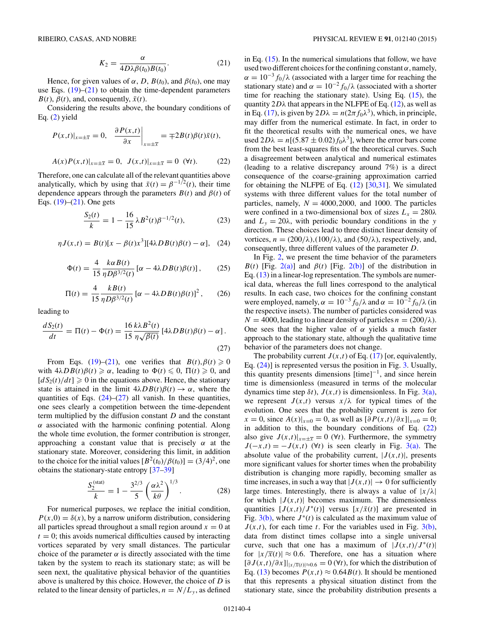$$
K_2 = \frac{\alpha}{4D\lambda\beta(t_0)B(t_0)}.\tag{21}
$$

<span id="page-3-0"></span>Hence, for given values of  $\alpha$ , *D*,  $B(t_0)$ , and  $\beta(t_0)$ , one may use Eqs.  $(19)$ – $(21)$  to obtain the time-dependent parameters  $B(t)$ ,  $\beta(t)$ , and, consequently,  $\bar{x}(t)$ .

Considering the results above, the boundary conditions of Eq. [\(2\)](#page-0-0) yield

$$
P(x,t)|_{x=\pm\overline{x}} = 0, \quad \frac{\partial P(x,t)}{\partial x}\Big|_{x=\pm\overline{x}} = \mp 2B(t)\beta(t)\overline{x}(t),
$$
  

$$
A(x)P(x,t)|_{x=\pm\overline{x}} = 0, \quad J(x,t)|_{x=\pm\overline{x}} = 0 \quad (\forall t). \tag{22}
$$

Therefore, one can calculate all of the relevant quantities above analytically, which by using that  $\bar{x}(t) = \beta^{-1/2}(t)$ , their time dependence appears through the parameters  $B(t)$  and  $\beta(t)$  of Eqs.  $(19)$ – $(21)$ . One gets

$$
\frac{S_2(t)}{k} = 1 - \frac{16}{15} \lambda B^2(t) \beta^{-1/2}(t),\tag{23}
$$

$$
\eta J(x,t) = B(t)[x - \beta(t)x^3][4\lambda DB(t)\beta(t) - \alpha], \quad (24)
$$

$$
\Phi(t) = \frac{4}{15} \frac{k \alpha B(t)}{\eta D \beta^{3/2}(t)} \left[ \alpha - 4\lambda D B(t) \beta(t) \right], \qquad (25)
$$

$$
\Pi(t) = \frac{4}{15} \frac{k B(t)}{\eta D \beta^{3/2}(t)} \left[ \alpha - 4\lambda D B(t) \beta(t) \right]^2, \qquad (26)
$$

leading to

$$
\frac{dS_2(t)}{dt} = \Pi(t) - \Phi(t) = \frac{16 k\lambda B^2(t)}{15 \eta \sqrt{\beta(t)}} \left[ 4\lambda DB(t)\beta(t) - \alpha \right].
$$
\n(27)

From Eqs. [\(19\)](#page-2-0)–(21), one verifies that  $B(t), \beta(t) \ge 0$ with  $4\lambda DB(t)\beta(t) \ge \alpha$ , leading to  $\Phi(t) \le 0$ ,  $\Pi(t) \ge 0$ , and  $[dS_2(t)/dt] \ge 0$  in the equations above. Hence, the stationary state is attained in the limit  $4\lambda DB(t)\beta(t) \rightarrow \alpha$ , where the quantities of Eqs.  $(24)$ – $(27)$  all vanish. In these quantities, one sees clearly a competition between the time-dependent term multiplied by the diffusion constant *D* and the constant *α* associated with the harmonic confining potential. Along the whole time evolution, the former contribution is stronger, approaching a constant value that is precisely *α* at the stationary state. Moreover, considering this limit, in addition to the choice for the initial values  $[B^2(t_0)/\beta(t_0)] = (3/4)^2$ , one obtains the stationary-state entropy [\[37–39\]](#page-7-0)

$$
\frac{S_2^{\text{(stat)}}}{k} = 1 - \frac{3^{2/3}}{5} \left( \frac{\alpha \lambda^2}{k \theta} \right)^{1/3}.
$$
 (28)

For numerical purposes, we replace the initial condition,  $P(x,0) = \delta(x)$ , by a narrow uniform distribution, considering all particles spread throughout a small region around  $x = 0$  at  $t = 0$ ; this avoids numerical difficulties caused by interacting vortices separated by very small distances. The particular choice of the parameter  $\alpha$  is directly associated with the time taken by the system to reach its stationary state; as will be seen next, the qualitative physical behavior of the quantities above is unaltered by this choice. However, the choice of *D* is related to the linear density of particles,  $n = N/L<sub>v</sub>$ , as defined in Eq. [\(15\)](#page-2-0). In the numerical simulations that follow, we have used two different choices for the confining constant *α*, namely,  $\alpha = 10^{-3} f_0/\lambda$  (associated with a larger time for reaching the stationary state) and  $\alpha = 10^{-2} f_0 / \lambda$  (associated with a shorter time for reaching the stationary state). Using Eq.  $(15)$ , the quantity  $2D\lambda$  that appears in the NLFPE of Eq. [\(12\)](#page-1-0), as well as in Eq. [\(17\)](#page-2-0), is given by  $2D\lambda = n(2\pi f_0\lambda^3)$ , which, in principle, may differ from the numerical estimate. In fact, in order to fit the theoretical results with the numerical ones, we have used  $2D\lambda = n[(5.87 \pm 0.02) f_0 \lambda^3]$ , where the error bars come from the best least-squares fits of the theoretical curves. Such a disagreement between analytical and numerical estimates (leading to a relative discrepancy around 7%) is a direct consequence of the coarse-graining approximation carried for obtaining the NLFPE of Eq. [\(12\)](#page-1-0) [\[30,31\]](#page-7-0). We simulated systems with three different values for the total number of particles, namely,  $N = 4000, 2000$ , and 1000. The particles were confined in a two-dimensional box of sizes  $L_x = 280\lambda$ and  $L_y = 20\lambda$ , with periodic boundary conditions in the *y* direction. These choices lead to three distinct linear density of vortices,  $n = (200/\lambda), (100/\lambda),$  and  $(50/\lambda)$ , respectively, and, consequently, three different values of the parameter *D*.

In Fig. [2,](#page-4-0) we present the time behavior of the parameters *B*(*t*) [Fig. [2\(a\)\]](#page-4-0) and *β*(*t*) [Fig. [2\(b\)\]](#page-4-0) of the distribution in Eq. [\(13\)](#page-1-0) in a linear-log representation. The symbols are numerical data, whereas the full lines correspond to the analytical results. In each case, two choices for the confining constant were employed, namely,  $\alpha = 10^{-3} f_0/\lambda$  and  $\alpha = 10^{-2} f_0/\lambda$  (in the respective insets). The number of particles considered was  $N = 4000$ , leading to a linear density of particles  $n = (200/\lambda)$ . One sees that the higher value of *α* yields a much faster approach to the stationary state, although the qualitative time behavior of the parameters does not change.

The probability current  $J(x,t)$  of Eq. [\(17\)](#page-2-0) [or, equivalently, Eq. (24)] is represented versus the position in Fig. [3.](#page-4-0) Usually, this quantity presents dimensions  $[time]^{-1}$ , and since herein time is dimensionless (measured in terms of the molecular dynamics time step  $\delta t$ ),  $J(x,t)$  is dimensionless. In Fig. [3\(a\),](#page-4-0) we represent  $J(x,t)$  versus  $x/\lambda$  for typical times of the evolution. One sees that the probability current is zero for  $x = 0$ , since  $A(x)|_{x=0} = 0$ , as well as  $[\partial P(x, t)/\partial x]|_{x=0} = 0$ ; in addition to this, the boundary conditions of Eq.  $(22)$ also give  $J(x,t)|_{x=\pm\overline{x}} = 0$  ( $\forall t$ ). Furthermore, the symmetry  $J(-x,t) = -J(x,t)$  ( $\forall t$ ) is seen clearly in Fig. [3\(a\).](#page-4-0) The absolute value of the probability current,  $|J(x,t)|$ , presents more significant values for shorter times when the probability distribution is changing more rapidly, becoming smaller as time increases, in such a way that  $|J(x,t)| \to 0$  for sufficiently large times. Interestingly, there is always a value of  $|x/\lambda|$ for which  $|J(x,t)|$  becomes maximum. The dimensionless quantities  $[J(x,t)/J^*(t)]$  versus  $[x/\bar{x}(t)]$  are presented in Fig.  $3(b)$ , where  $J^*(t)$  is calculated as the maximum value of  $J(x,t)$ , for each time *t*. For the variables used in Fig.  $3(b)$ , data from distinct times collapse into a single universal curve, such that one has a maximum of  $|J(x,t)/J^*(t)|$ for  $|x/\overline{x}(t)| \approx 0.6$ . Therefore, one has a situation where  $[\partial J(x,t)/\partial x]|_{|x/\overline{x}(t)|\approx 0.6}$  = 0 (∀*t*), for which the distribution of Eq. [\(13\)](#page-1-0) becomes  $P(x,t) \approx 0.64B(t)$ . It should be mentioned that this represents a physical situation distinct from the stationary state, since the probability distribution presents a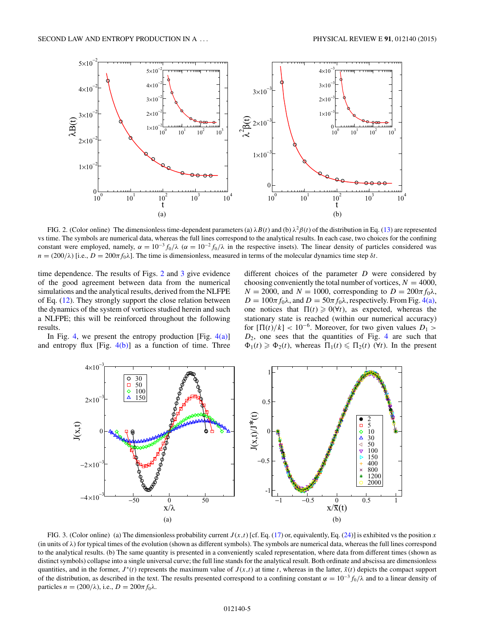<span id="page-4-0"></span>

FIG. 2. (Color online) The dimensionless time-dependent parameters (a)  $\lambda B(t)$  and (b)  $\lambda^2 \beta(t)$  of the distribution in Eq. [\(13\)](#page-1-0) are represented vs time. The symbols are numerical data, whereas the full lines correspond to the analytical results. In each case, two choices for the confining constant were employed, namely,  $\alpha = 10^{-3} f_0 / \lambda$  ( $\alpha = 10^{-2} f_0 / \lambda$  in the respective insets). The linear density of particles considered was  $n = (200/\lambda)$  [i.e.,  $D = 200\pi f_0\lambda$ ]. The time is dimensionless, measured in terms of the molecular dynamics time step  $\delta t$ .

time dependence. The results of Figs. 2 and 3 give evidence of the good agreement between data from the numerical simulations and the analytical results, derived from the NLFPE of Eq. [\(12\)](#page-1-0). They strongly support the close relation between the dynamics of the system of vortices studied herein and such a NLFPE; this will be reinforced throughout the following results.

In Fig. [4,](#page-5-0) we present the entropy production [Fig.  $4(a)$ ] and entropy flux [Fig.  $4(b)$ ] as a function of time. Three

different choices of the parameter *D* were considered by choosing conveniently the total number of vortices,  $N = 4000$ ,  $N = 2000$ , and  $N = 1000$ , corresponding to  $D = 200\pi f_0\lambda$ ,  $D = 100\pi f_0\lambda$ , and  $D = 50\pi f_0\lambda$ , respectively. From Fig. [4\(a\),](#page-5-0) one notices that  $\Pi(t) \geq 0(\forall t)$ , as expected, whereas the stationary state is reached (within our numerical accuracy) for  $[\Pi(t)/k] < 10^{-6}$ . Moreover, for two given values  $D_1 >$ *D*2, one sees that the quantities of Fig. [4](#page-5-0) are such that  $\Phi_1(t) \geq \Phi_2(t)$ , whereas  $\Pi_1(t) \leq \Pi_2(t)$  ( $\forall t$ ). In the present



FIG. 3. (Color online) (a) The dimensionless probability current  $J(x,t)$  [cf. Eq. [\(17\)](#page-2-0) or, equivalently, Eq. [\(24\)](#page-3-0)] is exhibited vs the position *x*  $(in units of  $\lambda$ ) for typical times of the evolution (shown as different symbols). The symbols are numerical data, whereas the full lines correspond$ to the analytical results. (b) The same quantity is presented in a conveniently scaled representation, where data from different times (shown as distinct symbols) collapse into a single universal curve; the full line stands for the analytical result. Both ordinate and abscissa are dimensionless quantities, and in the former,  $J^*(t)$  represents the maximum value of  $J(x,t)$  at time *t*, whereas in the latter,  $\bar{x}(t)$  depicts the compact support of the distribution, as described in the text. The results presented correspond to a confining constant  $\alpha = 10^{-3} f_0/\lambda$  and to a linear density of particles  $n = (200/\lambda)$ , i.e.,  $D = 200\pi f_0\lambda$ .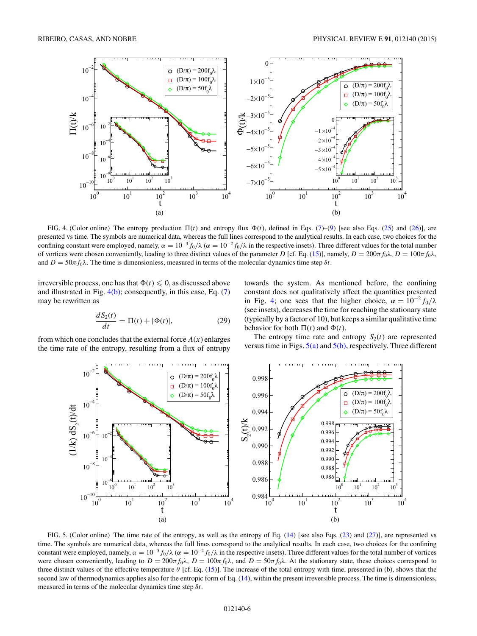<span id="page-5-0"></span>

FIG. 4. (Color online) The entropy production  $\Pi(t)$  and entropy flux  $\Phi(t)$ , defined in Eqs. [\(7\)](#page-1-0)–[\(9\)](#page-1-0) [see also Eqs. [\(25\)](#page-3-0) and [\(26\)](#page-3-0)], are presented vs time. The symbols are numerical data, whereas the full lines correspond to the analytical results. In each case, two choices for the confining constant were employed, namely,  $\alpha = 10^{-3} f_0/\lambda$  ( $\alpha = 10^{-2} f_0/\lambda$  in the respective insets). Three different values for the total number of vortices were chosen conveniently, leading to three distinct values of the parameter *D* [cf. Eq. [\(15\)](#page-2-0)], namely, *D* = 200*πf*0*λ*, *D* = 100*πf*0*λ*, and  $D = 50\pi f_0\lambda$ . The time is dimensionless, measured in terms of the molecular dynamics time step  $\delta t$ .

irreversible process, one has that  $\Phi(t) \leqslant 0$ , as discussed above and illustrated in Fig.  $4(b)$ ; consequently, in this case, Eq.  $(7)$ may be rewritten as

$$
\frac{dS_2(t)}{dt} = \Pi(t) + |\Phi(t)|,
$$
\n(29)

from which one concludes that the external force  $A(x)$  enlarges the time rate of the entropy, resulting from a flux of entropy towards the system. As mentioned before, the confining constant does not qualitatively affect the quantities presented in Fig. 4; one sees that the higher choice,  $\alpha = 10^{-2} f_0/\lambda$ (see insets), decreases the time for reaching the stationary state (typically by a factor of 10), but keeps a similar qualitative time behavior for both  $\Pi(t)$  and  $\Phi(t)$ .

The entropy time rate and entropy  $S_2(t)$  are represented versus time in Figs.  $5(a)$  and  $5(b)$ , respectively. Three different



FIG. 5. (Color online) The time rate of the entropy, as well as the entropy of Eq. [\(14\)](#page-1-0) [see also Eqs. [\(23\)](#page-3-0) and [\(27\)](#page-3-0)], are represented vs time. The symbols are numerical data, whereas the full lines correspond to the analytical results. In each case, two choices for the confining constant were employed, namely,  $\alpha = 10^{-3} f_0/\lambda$  ( $\alpha = 10^{-2} f_0/\lambda$  in the respective insets). Three different values for the total number of vortices were chosen conveniently, leading to  $D = 200\pi f_0\lambda$ ,  $D = 100\pi f_0\lambda$ , and  $D = 50\pi f_0\lambda$ . At the stationary state, these choices correspond to three distinct values of the effective temperature *θ* [cf. Eq. [\(15\)](#page-2-0)]. The increase of the total entropy with time, presented in (b), shows that the second law of thermodynamics applies also for the entropic form of Eq. [\(14\)](#page-1-0), within the present irreversible process. The time is dimensionless, measured in terms of the molecular dynamics time step *δt*.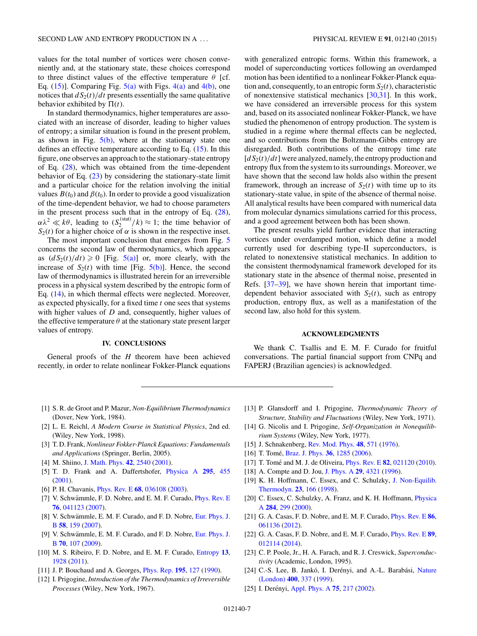<span id="page-6-0"></span>values for the total number of vortices were chosen conveniently and, at the stationary state, these choices correspond to three distinct values of the effective temperature *θ* [cf. Eq.  $(15)$ ]. Comparing Fig.  $5(a)$  with Figs.  $4(a)$  and  $4(b)$ , one notices that  $dS_2(t)/dt$  presents essentially the same qualitative behavior exhibited by  $\Pi(t)$ .

In standard thermodynamics, higher temperatures are associated with an increase of disorder, leading to higher values of entropy; a similar situation is found in the present problem, as shown in Fig.  $5(b)$ , where at the stationary state one defines an effective temperature according to Eq.  $(15)$ . In this figure, one observes an approach to the stationary-state entropy of Eq. [\(28\)](#page-3-0), which was obtained from the time-dependent behavior of Eq.  $(23)$  by considering the stationary-state limit and a particular choice for the relation involving the initial values  $B(t_0)$  and  $\beta(t_0)$ . In order to provide a good visualization of the time-dependent behavior, we had to choose parameters in the present process such that in the entropy of Eq. [\(28\)](#page-3-0),  $\alpha \lambda^2 \ll k\theta$ , leading to  $(S_2^{(\text{stat})}/k) \approx 1$ ; the time behavior of  $S_2(t)$  for a higher choice of  $\alpha$  is shown in the respective inset.

The most important conclusion that emerges from Fig. [5](#page-5-0) concerns the second law of thermodynamics, which appears as  $(dS_2(t)/dt) \ge 0$  [Fig. [5\(a\)\]](#page-5-0) or, more clearly, with the increase of  $S_2(t)$  with time [Fig.  $5(b)$ ]. Hence, the second law of thermodynamics is illustrated herein for an irreversible process in a physical system described by the entropic form of Eq. [\(14\)](#page-1-0), in which thermal effects were neglected. Moreover, as expected physically, for a fixed time *t* one sees that systems with higher values of *D* and, consequently, higher values of the effective temperature  $\theta$  at the stationary state present larger values of entropy.

### **IV. CONCLUSIONS**

General proofs of the *H* theorem have been achieved recently, in order to relate nonlinear Fokker-Planck equations

with generalized entropic forms. Within this framework, a model of superconducting vortices following an overdamped motion has been identified to a nonlinear Fokker-Planck equation and, consequently, to an entropic form  $S_2(t)$ , characteristic of nonextensive statistical mechanics [\[30,31\]](#page-7-0). In this work, we have considered an irreversible process for this system and, based on its associated nonlinear Fokker-Planck, we have studied the phenomenon of entropy production. The system is studied in a regime where thermal effects can be neglected, and so contributions from the Boltzmann-Gibbs entropy are disregarded. Both contributions of the entropy time rate  $[dS_2(t)/dt]$  were analyzed, namely, the entropy production and entropy flux from the system to its surroundings. Moreover, we have shown that the second law holds also within the present framework, through an increase of  $S_2(t)$  with time up to its stationary-state value, in spite of the absence of thermal noise. All analytical results have been compared with numerical data from molecular dynamics simulations carried for this process, and a good agreement between both has been shown.

The present results yield further evidence that interacting vortices under overdamped motion, which define a model currently used for describing type-II superconductors, is related to nonextensive statistical mechanics. In addition to the consistent thermodynamical framework developed for its stationary state in the absence of thermal noise, presented in Refs. [\[37–39\]](#page-7-0), we have shown herein that important timedependent behavior associated with  $S_2(t)$ , such as entropy production, entropy flux, as well as a manifestation of the second law, also hold for this system.

#### **ACKNOWLEDGMENTS**

We thank C. Tsallis and E. M. F. Curado for fruitful conversations. The partial financial support from CNPq and FAPERJ (Brazilian agencies) is acknowledged.

- [1] S. R. de Groot and P. Mazur, *Non-Equilibrium Thermodynamics* (Dover, New York, 1984).
- [2] L. E. Reichl, *A Modern Course in Statistical Physics*, 2nd ed. (Wiley, New York, 1998).
- [3] T. D. Frank,*Nonlinear Fokker-Planck Equations: Fundamentals and Applications* (Springer, Berlin, 2005).
- [4] M. Shiino, [J. Math. Phys.](http://dx.doi.org/10.1063/1.1367327) **[42](http://dx.doi.org/10.1063/1.1367327)**, [2540](http://dx.doi.org/10.1063/1.1367327) [\(2001\)](http://dx.doi.org/10.1063/1.1367327).
- [5] T. D. Frank and A. Daffertshofer, [Physica A](http://dx.doi.org/10.1016/S0378-4371(01)00146-7) **[295](http://dx.doi.org/10.1016/S0378-4371(01)00146-7)**, [455](http://dx.doi.org/10.1016/S0378-4371(01)00146-7) [\(2001\)](http://dx.doi.org/10.1016/S0378-4371(01)00146-7).
- [6] P. H. Chavanis, [Phys. Rev. E](http://dx.doi.org/10.1103/PhysRevE.68.036108) **[68](http://dx.doi.org/10.1103/PhysRevE.68.036108)**, [036108](http://dx.doi.org/10.1103/PhysRevE.68.036108) [\(2003\)](http://dx.doi.org/10.1103/PhysRevE.68.036108).
- [7] V. Schwämmle, F. D. Nobre, and E. M. F. Curado, *[Phys. Rev. E](http://dx.doi.org/10.1103/PhysRevE.76.041123)* **[76](http://dx.doi.org/10.1103/PhysRevE.76.041123)**, [041123](http://dx.doi.org/10.1103/PhysRevE.76.041123) [\(2007\)](http://dx.doi.org/10.1103/PhysRevE.76.041123).
- [8] V. Schwämmle, E. M. F. Curado, and F. D. Nobre, Eur. Phys. J. B **[58](http://dx.doi.org/10.1140/epjb/e2007-00217-1)**, [159](http://dx.doi.org/10.1140/epjb/e2007-00217-1) [\(2007\)](http://dx.doi.org/10.1140/epjb/e2007-00217-1).
- [9] V. Schwämmle, E. M. F. Curado, and F. D. Nobre, Eur. Phys. J. B **[70](http://dx.doi.org/10.1140/epjb/e2009-00172-9)**, [107](http://dx.doi.org/10.1140/epjb/e2009-00172-9) [\(2009\)](http://dx.doi.org/10.1140/epjb/e2009-00172-9).
- [10] M. S. Ribeiro, F. D. Nobre, and E. M. F. Curado, [Entropy](http://dx.doi.org/10.3390/e13111928) **[13](http://dx.doi.org/10.3390/e13111928)**, [1928](http://dx.doi.org/10.3390/e13111928) [\(2011\)](http://dx.doi.org/10.3390/e13111928).
- [11] J. P. Bouchaud and A. Georges, [Phys. Rep.](http://dx.doi.org/10.1016/0370-1573(90)90099-N) **[195](http://dx.doi.org/10.1016/0370-1573(90)90099-N)**, [127](http://dx.doi.org/10.1016/0370-1573(90)90099-N) [\(1990\)](http://dx.doi.org/10.1016/0370-1573(90)90099-N).
- [12] I. Prigogine, *Introduction of the Thermodynamics of Irreversible Processes* (Wiley, New York, 1967).
- [13] P. Glansdorff and I. Prigogine, *Thermodynamic Theory of Structure, Stability and Fluctuations* (Wiley, New York, 1971).
- [14] G. Nicolis and I. Prigogine, *Self-Organization in Nonequilibrium Systems* (Wiley, New York, 1977).
- [15] J. Schnakenberg, [Rev. Mod. Phys.](http://dx.doi.org/10.1103/RevModPhys.48.571) **[48](http://dx.doi.org/10.1103/RevModPhys.48.571)**, [571](http://dx.doi.org/10.1103/RevModPhys.48.571) [\(1976\)](http://dx.doi.org/10.1103/RevModPhys.48.571).
- [16] T. Tomé, [Braz. J. Phys.](http://dx.doi.org/10.1590/S0103-97332006000700029) **[36](http://dx.doi.org/10.1590/S0103-97332006000700029)**, [1285](http://dx.doi.org/10.1590/S0103-97332006000700029) [\(2006\)](http://dx.doi.org/10.1590/S0103-97332006000700029).
- [17] T. Tomé and M. J. de Oliveira, *[Phys. Rev. E](http://dx.doi.org/10.1103/PhysRevE.82.021120)* **[82](http://dx.doi.org/10.1103/PhysRevE.82.021120)**, [021120](http://dx.doi.org/10.1103/PhysRevE.82.021120) [\(2010\)](http://dx.doi.org/10.1103/PhysRevE.82.021120).
- [18] A. Compte and D. Jou, [J. Phys. A](http://dx.doi.org/10.1088/0305-4470/29/15/007) **[29](http://dx.doi.org/10.1088/0305-4470/29/15/007)**, [4321](http://dx.doi.org/10.1088/0305-4470/29/15/007) [\(1996\)](http://dx.doi.org/10.1088/0305-4470/29/15/007).
- [19] [K. H. Hoffmann, C. Essex, and C. Schulzky,](http://dx.doi.org/10.1515/jnet.1998.23.2.166) J. Non-Equilib. Thermodyn. **[23](http://dx.doi.org/10.1515/jnet.1998.23.2.166)**, [166](http://dx.doi.org/10.1515/jnet.1998.23.2.166) [\(1998\)](http://dx.doi.org/10.1515/jnet.1998.23.2.166).
- [20] [C. Essex, C. Schulzky, A. Franz, and K. H. Hoffmann,](http://dx.doi.org/10.1016/S0378-4371(00)00174-6) *Physica* A **[284](http://dx.doi.org/10.1016/S0378-4371(00)00174-6)**, [299](http://dx.doi.org/10.1016/S0378-4371(00)00174-6) [\(2000\)](http://dx.doi.org/10.1016/S0378-4371(00)00174-6).
- [21] G. A. Casas, F. D. Nobre, and E. M. F. Curado, [Phys. Rev. E](http://dx.doi.org/10.1103/PhysRevE.86.061136) **[86](http://dx.doi.org/10.1103/PhysRevE.86.061136)**, [061136](http://dx.doi.org/10.1103/PhysRevE.86.061136) [\(2012\)](http://dx.doi.org/10.1103/PhysRevE.86.061136).
- [22] G. A. Casas, F. D. Nobre, and E. M. F. Curado, [Phys. Rev. E](http://dx.doi.org/10.1103/PhysRevE.89.012114) **[89](http://dx.doi.org/10.1103/PhysRevE.89.012114)**, [012114](http://dx.doi.org/10.1103/PhysRevE.89.012114) [\(2014\)](http://dx.doi.org/10.1103/PhysRevE.89.012114).
- [23] C. P. Poole, Jr., H. A. Farach, and R. J. Creswick, *Superconductivity* (Academic, London, 1995).
- [24] C.-S. Lee, B. Jankó, I. Derényi, and A.-L. Barabási, Nature (London) **[400](http://dx.doi.org/10.1038/22485)**, [337](http://dx.doi.org/10.1038/22485) [\(1999\)](http://dx.doi.org/10.1038/22485).
- [25] I. Derényi, [Appl. Phys. A](http://dx.doi.org/10.1007/s003390201323) **[75](http://dx.doi.org/10.1007/s003390201323)**, [217](http://dx.doi.org/10.1007/s003390201323) [\(2002\)](http://dx.doi.org/10.1007/s003390201323).